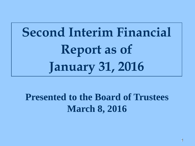# **Second Interim Financial Report as of January 31, 2016**

### **Presented to the Board of Trustees March 8, 2016**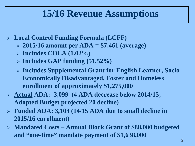### **15/16 Revenue Assumptions**

- **Local Control Funding Formula (LCFF)**
	- **2015/16 amount per ADA = \$7,461 (average)**
	- **Includes COLA (1.02%)**
	- **Includes GAP funding (51.52%)**
	- **Includes Supplemental Grant for English Learner, Socio-Economically Disadvantaged, Foster and Homeless enrollment of approximately \$1,275,000**
- **Actual ADA: 3,099 (4 ADA decrease below 2014/15; Adopted Budget projected 20 decline)**
- **Funded ADA: 3,103 (14/15 ADA due to small decline in 2015/16 enrollment)**
- **Mandated Costs – Annual Block Grant of \$88,000 budgeted and "one-time" mandate payment of \$1,638,000**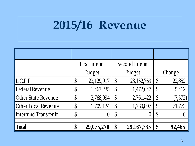# **2015/16 Revenue**

|                            | <b>First Interim</b>       |            | <b>Second Interim</b>     |              |                           |         |
|----------------------------|----------------------------|------------|---------------------------|--------------|---------------------------|---------|
|                            | <b>Budget</b>              |            | <b>Budget</b>             |              | Change                    |         |
| L.C.F.F.                   | \$                         | 23,129,917 | $\mathcal{S}$             | 23,152,769   | $\boldsymbol{\mathsf{S}}$ | 22,852  |
| <b>Federal Revenue</b>     | $\boldsymbol{\mathsf{\$}}$ | 1,467,235  | $\boldsymbol{\mathsf{S}}$ | 1,472,647    |                           | 5,412   |
| <b>Other State Revenue</b> | \$                         | 2,768,994  | $\boldsymbol{\mathsf{S}}$ | 2,761,422    | $\S$                      | (7,572) |
| Other Local Revenue        | $\boldsymbol{\mathsf{\$}}$ | 1,709,124  | $\boldsymbol{\mathsf{S}}$ | 1,780,897    | $\boldsymbol{\mathsf{S}}$ | 71,773  |
| Interfund Transfer In      | $\boldsymbol{\mathsf{\$}}$ |            | $\boldsymbol{\mathsf{S}}$ |              | $\S$                      |         |
| <b>Total</b>               | \$                         | 29,075,270 | \$                        | 29, 167, 735 | \$                        | 92,465  |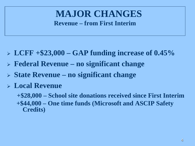#### **MAJOR CHANGES Revenue – from First Interim**

- **LCFF +\$23,000 – GAP funding increase of 0.45%**
- **Federal Revenue – no significant change**
- **State Revenue – no significant change**
- **Local Revenue**

**+\$28,000 – School site donations received since First Interim +\$44,000 – One time funds (Microsoft and ASCIP Safety Credits)**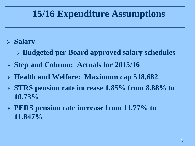### **15/16 Expenditure Assumptions**

- **Salary**
	- **Budgeted per Board approved salary schedules**
- **Step and Column: Actuals for 2015/16**
- **Health and Welfare: Maximum cap \$18,682**
- **STRS pension rate increase 1.85% from 8.88% to 10.73%**
- **PERS pension rate increase from 11.77% to 11.847%**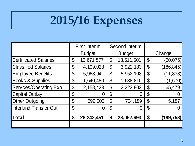# **2015/16 Expenses**

|                               | <b>First Interim</b> |            | <b>Second Interim</b>      |               |                            |            |  |
|-------------------------------|----------------------|------------|----------------------------|---------------|----------------------------|------------|--|
|                               | <b>Budget</b>        |            |                            | <b>Budget</b> |                            | Change     |  |
| <b>Certificated Salaries</b>  | \$                   | 13,671,577 | $\boldsymbol{\theta}$      | 13,611,501    | \$                         | (60, 076)  |  |
| <b>Classified Salaries</b>    | \$                   | 4,109,028  | $\boldsymbol{\mathsf{\$}}$ | 3,922,183     | \$                         | (186, 845) |  |
| <b>Employee Benefits</b>      | \$                   | 5,963,941  | \$                         | 5,952,108     | $\boldsymbol{\mathsf{\$}}$ | (11, 833)  |  |
| <b>Books &amp; Supplies</b>   | \$                   | 1,640,480  | $\boldsymbol{\mathsf{\$}}$ | 1,638,810     | $\boldsymbol{\theta}$      | (1,670)    |  |
| Services/Operating Exp.       | \$                   | 2,158,423  | $\boldsymbol{\mathsf{\$}}$ | 2,223,902     | $\boldsymbol{\theta}$      | 65,479     |  |
| <b>Capital Outlay</b>         | \$                   |            | \$                         | Û             | \$                         |            |  |
| <b>Other Outgoing</b>         | \$                   | 699,002    | $\boldsymbol{\vartheta}$   | 704,189       | $\boldsymbol{\mathsf{\$}}$ | 5,187      |  |
| <b>Interfund Transfer Out</b> | \$                   |            | \$                         | O             | \$                         |            |  |
| <b>Total</b>                  | \$                   | 28,242,451 | \$                         | 28,052,693    | \$                         | (189,758)  |  |
|                               |                      |            |                            |               |                            |            |  |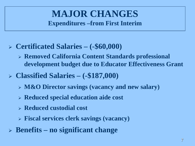#### **MAJOR CHANGES Expenditures –from First Interim**

- **Certificated Salaries – (-\$60,000)**
	- **Removed California Content Standards professional development budget due to Educator Effectiveness Grant**
- **Classified Salaries – (-\$187,000)**
	- **M&O Director savings (vacancy and new salary)**
	- **Reduced special education aide cost**
	- **Reduced custodial cost**
	- **Fiscal services clerk savings (vacancy)**
- **Benefits – no significant change**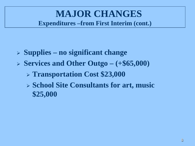#### **MAJOR CHANGES Expenditures –from First Interim (cont.)**

- **Supplies – no significant change**
- **Services and Other Outgo – (+\$65,000)**
	- **Transportation Cost \$23,000**
	- **School Site Consultants for art, music \$25,000**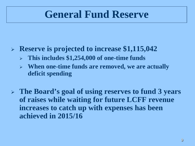## **General Fund Reserve**

- **Reserve is projected to increase \$1,115,042**
	- **This includes \$1,254,000 of one-time funds**
	- **When one-time funds are removed, we are actually deficit spending**
- **The Board's goal of using reserves to fund 3 years of raises while waiting for future LCFF revenue increases to catch up with expenses has been achieved in 2015/16**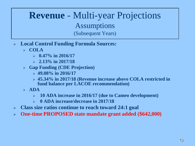#### **Revenue** - Multi-year Projections Assumptions (Subsequent Years)

- **Local Control Funding Formula Sources:**
	- **COLA**
		- **0.47% in 2016/17**
		- **2.13% in 2017/18**
	- **Gap Funding (CDE Projection)**
		- **49.08% in 2016/17**
		- **45.34% in 2017/18 (Revenue increase above COLA restricted in fund balance per LACOE recommendation)**
	- $\triangleright$  **ADA** 
		- **10 ADA increase in 2016/17 (due to Cameo development)**
		- **0 ADA increase/decrease in 2017/18**
- **Class size ratios continue to reach toward 24:1 goal**
- **One-time PROPOSED state mandate grant added (\$642,000)**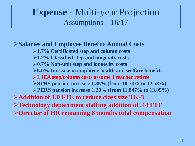#### **Expense** - Multi-year Projection Assumptions – 16/17

#### **Salaries and Employee Benefits Annual Costs**

**1.7% Certificated step and column costs 1.2% Classified step and longevity costs 0.7% Non-unit step and longevity costs 6.0% Increase in employee health and welfare benefits LJEA step/column costs assume 1 teacher retiree STRS pension increase 1.85% (from 10.73% to 12.58%) PERS pension increase 1.20% (from 11.847% to 13.05%) Addition of 1.0 FTE to reduce class size TK-3 Technology department staffing addition of .44 FTE Director of HR remaining 8 months total compensation**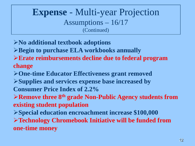#### **Expense** - Multi-year Projection Assumptions – 16/17 (Continued)

- **No additional textbook adoptions**
- **Begin to purchase ELA workbooks annually**
- **Erate reimbursements decline due to federal program change**
- **One-time Educator Effectiveness grant removed**
- **Supplies and services expense base increased by Consumer Price Index of 2.2%**
- **Remove three 8th grade Non-Public Agency students from existing student population**
- **Special education encroachment increase \$100,000**

**Technology Chromebook Initiative will be funded from one-time money**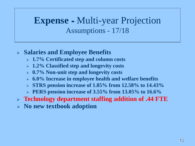#### **Expense** - Multi-year Projection Assumptions - 17/18

#### **Salaries and Employee Benefits**

- **1.7% Certificated step and column costs**
- **1.2% Classified step and longevity costs**
- **0.7% Non-unit step and longevity costs**
- **6.0% Increase in employee health and welfare benefits**
- **STRS pension increase of 1.85% from 12.58% to 14.43%**
- **PERS pension increase of 3.55% from 13.05% to 16.6%**
- **Technology department staffing addition of .44 FTE**
- **No new textbook adoption**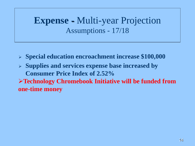#### **Expense** - Multi-year Projection Assumptions - 17/18

- **Special education encroachment increase \$100,000**
- **Supplies and services expense base increased by Consumer Price Index of 2.52%**

**Technology Chromebook Initiative will be funded from one-time money**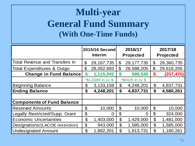### **Multi-year General Fund Summary (With One-Time Funds)**

|                                       | 2015/16 Second<br><b>Interim</b> |                    | 2016/17<br><b>Projected</b> |                  | 2017/18<br><b>Projected</b> |            |
|---------------------------------------|----------------------------------|--------------------|-----------------------------|------------------|-----------------------------|------------|
| <b>Total Revenue and Transfers In</b> | \$                               | 29, 167, 735       | $\mathcal{C}$               | 29, 177, 735     | $\mathfrak{F}$              | 29,360,735 |
| <b>Total Expenditures &amp; Outgo</b> | \$                               | 28,052,693         | $\boldsymbol{\mathcal{S}}$  | 28,588,205       | $\mathfrak{P}$              | 29,618,205 |
| <b>Change in Fund Balance</b>         | \$                               | 1,115,042          | $\boldsymbol{\mathsf{s}}$   | 589,530          | \$                          | (257, 470) |
|                                       |                                  | *\$1,638K in 1x \$ |                             | *\$642K in 1x \$ |                             |            |
| <b>Beginning Balance</b>              | \$                               | 3, 133, 159        | $\mathbb S$                 | 4,248,201        | \$                          | 4,837,731  |
| <b>Ending Balance</b>                 | \$                               | 4,248,201          | \$                          | 4,837,731        | \$                          | 4,580,261  |
|                                       |                                  |                    |                             |                  |                             |            |
| <b>Components of Fund Balance</b>     |                                  |                    |                             |                  |                             |            |
| <b>Reserved Amounts</b>               | \$                               | 10,000             | $\mathfrak{S}$              | 10,000           | $\boldsymbol{\mathcal{S}}$  | 10,000     |
| Legally Restricted/Supp. Grant        | \$                               |                    | \$                          |                  | $\boldsymbol{\theta}$       | 324,000    |
| <b>Economic Uncertainties</b>         | $\mathfrak{P}$                   | 1,403,000          | $\mathfrak{P}$              | 1,429,000        | $\boldsymbol{\theta}$       | 1,481,000  |
| Designations/(LACOE restriction)      | \$                               | 943,000            | \$                          | 1,585,000        | $\boldsymbol{\mathcal{S}}$  | 1,585,000  |
| <b>Undesignated Amount</b>            | \$                               | 1,892,201          | \$                          | 1,813,731        | \$                          | 1,180,261  |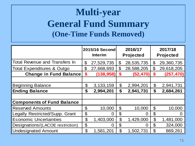### **Multi-year General Fund Summary (One-Time Funds Removed)**

|                                       | 2015/16 Second<br><b>Interim</b> |             | 2016/17<br><b>Projected</b> |            | 2017/18<br><b>Projected</b> |            |
|---------------------------------------|----------------------------------|-------------|-----------------------------|------------|-----------------------------|------------|
| <b>Total Revenue and Transfers In</b> | \$                               | 27,529,735  | $\boldsymbol{\mathcal{S}}$  | 28,535,735 | \$                          | 29,360,735 |
| <b>Total Expenditures &amp; Outgo</b> | \$                               | 27,668,693  | \$                          | 28,588,205 | $\mathfrak{P}$              | 29,618,205 |
| <b>Change in Fund Balance</b>         | \$                               | (138, 958)  | \$                          | (52, 470)  | \$                          | (257, 470) |
|                                       |                                  |             |                             |            |                             |            |
| <b>Beginning Balance</b>              | \$                               | 3, 133, 159 | $\mathfrak{P}$              | 2,994,201  | $\boldsymbol{\theta}$       | 2,941,731  |
| <b>Ending Balance</b>                 | \$                               | 2,994,201   | \$                          | 2,941,731  | \$                          | 2,684,261  |
|                                       |                                  |             |                             |            |                             |            |
| <b>Components of Fund Balance</b>     |                                  |             |                             |            |                             |            |
| <b>Reserved Amounts</b>               | \$                               | 10,000      | $\boldsymbol{\mathcal{S}}$  | 10,000     | $\boldsymbol{\mathcal{S}}$  | 10,000     |
| Legally Restricted/Supp. Grant        | \$                               |             | \$                          |            | \$                          |            |
| <b>Economic Uncertainties</b>         | $\boldsymbol{\theta}$            | 1,403,000   | $\boldsymbol{\theta}$       | 1,429,000  | $\boldsymbol{\theta}$       | 1,481,000  |
| Designations/(LACOE restriction)      | \$                               | ( )         | $\mathfrak{P}$              | Ω          | $\mathfrak{P}$              | 324,000    |
| <b>Undesignated Amount</b>            | \$                               | 1,581,201   | \$                          | 1,502,731  | $\mathfrak{P}$              | 869,261    |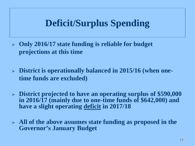#### **Deficit/Surplus Spending**

- **Only 2016/17 state funding is reliable for budget projections at this time**
- **District is operationally balanced in 2015/16 (when onetime funds are excluded)**
- **District projected to have an operating surplus of \$590,000 in 2016/17 (mainly due to one-time funds of \$642,000) and have a slight operating deficit in 2017/18**
- **All of the above assumes state funding as proposed in the Governor's January Budget**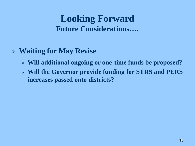#### **Looking Forward Future Considerations….**

#### **Waiting for May Revise**

- **Will additional ongoing or one-time funds be proposed?**
- **Will the Governor provide funding for STRS and PERS increases passed onto districts?**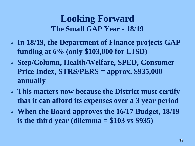#### **Looking Forward The Small GAP Year - 18/19**

- **In 18/19, the Department of Finance projects GAP funding at 6% (only \$103,000 for LJSD)**
- **Step/Column, Health/Welfare, SPED, Consumer Price Index, STRS/PERS = approx. \$935,000 annually**
- **This matters now because the District must certify that it can afford its expenses over a 3 year period**
- **When the Board approves the 16/17 Budget, 18/19 is the third year (dilemma = \$103 vs \$935)**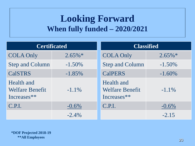#### **Looking Forward When fully funded – 2020/2021**

| <b>Certificated</b>                                 |           | <b>Classified</b>                                          |            |  |  |  |
|-----------------------------------------------------|-----------|------------------------------------------------------------|------------|--|--|--|
| <b>COLA Only</b>                                    | $2.65\%*$ | <b>COLA Only</b>                                           | $2.65\%$ * |  |  |  |
| <b>Step and Column</b>                              | $-1.50%$  | <b>Step and Column</b>                                     | $-1.50\%$  |  |  |  |
| <b>CalSTRS</b>                                      | $-1.85%$  | <b>CalPERS</b>                                             | $-1.60%$   |  |  |  |
| Health and<br><b>Welfare Benefit</b><br>Increases** | $-1.1\%$  | <b>Health and</b><br><b>Welfare Benefit</b><br>Increases** | $-1.1\%$   |  |  |  |
| C.P.I.                                              | $-0.6\%$  | C.P.I.                                                     | $-0.6%$    |  |  |  |
|                                                     | $-2.4\%$  |                                                            | $-2.15$    |  |  |  |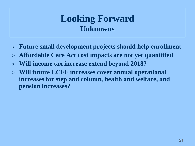#### **Looking Forward Unknowns**

- **Future small development projects should help enrollment**
- **Affordable Care Act cost impacts are not yet quanitifed**
- **Will income tax increase extend beyond 2018?**
- **Will future LCFF increases cover annual operational increases for step and column, health and welfare, and pension increases?**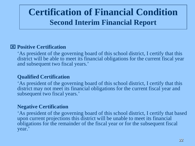#### **Certification of Financial Condition Second Interim Financial Report**

#### **Positive Certification**

'As president of the governing board of this school district, I certify that this district will be able to meet its financial obligations for the current fiscal year and subsequent two fiscal years.'

#### **Qualified Certification**

'As president of the governing board of this school district, I certify that this district may not meet its financial obligations for the current fiscal year and subsequent two fiscal years.'

#### **Negative Certification**

'As president of the governing board of this school district, I certify that based upon current projections this district will be unable to meet its financial obligations for the remainder of the fiscal year or for the subsequent fiscal year.'